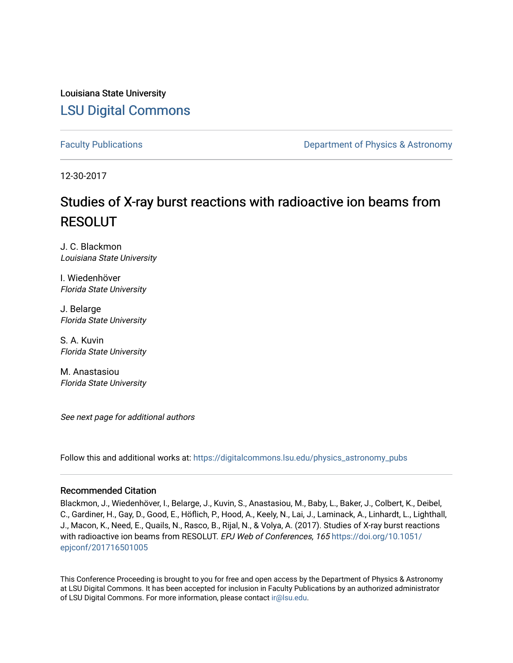Louisiana State University [LSU Digital Commons](https://digitalcommons.lsu.edu/)

[Faculty Publications](https://digitalcommons.lsu.edu/physics_astronomy_pubs) **Exercise 2 and Table 2 and Table 2 and Table 2 and Table 2 and Table 2 and Table 2 and Table 2 and Table 2 and Table 2 and Table 2 and Table 2 and Table 2 and Table 2 and Table 2 and Table 2 and Table** 

12-30-2017

# Studies of X-ray burst reactions with radioactive ion beams from RESOLUT

J. C. Blackmon Louisiana State University

I. Wiedenhöver Florida State University

J. Belarge Florida State University

S. A. Kuvin Florida State University

M. Anastasiou Florida State University

See next page for additional authors

Follow this and additional works at: [https://digitalcommons.lsu.edu/physics\\_astronomy\\_pubs](https://digitalcommons.lsu.edu/physics_astronomy_pubs?utm_source=digitalcommons.lsu.edu%2Fphysics_astronomy_pubs%2F220&utm_medium=PDF&utm_campaign=PDFCoverPages) 

#### Recommended Citation

Blackmon, J., Wiedenhöver, I., Belarge, J., Kuvin, S., Anastasiou, M., Baby, L., Baker, J., Colbert, K., Deibel, C., Gardiner, H., Gay, D., Good, E., Höflich, P., Hood, A., Keely, N., Lai, J., Laminack, A., Linhardt, L., Lighthall, J., Macon, K., Need, E., Quails, N., Rasco, B., Rijal, N., & Volya, A. (2017). Studies of X-ray burst reactions with radioactive ion beams from RESOLUT. EPJ Web of Conferences, 165 [https://doi.org/10.1051/](https://doi.org/10.1051/epjconf/201716501005) [epjconf/201716501005](https://doi.org/10.1051/epjconf/201716501005) 

This Conference Proceeding is brought to you for free and open access by the Department of Physics & Astronomy at LSU Digital Commons. It has been accepted for inclusion in Faculty Publications by an authorized administrator of LSU Digital Commons. For more information, please contact [ir@lsu.edu](mailto:ir@lsu.edu).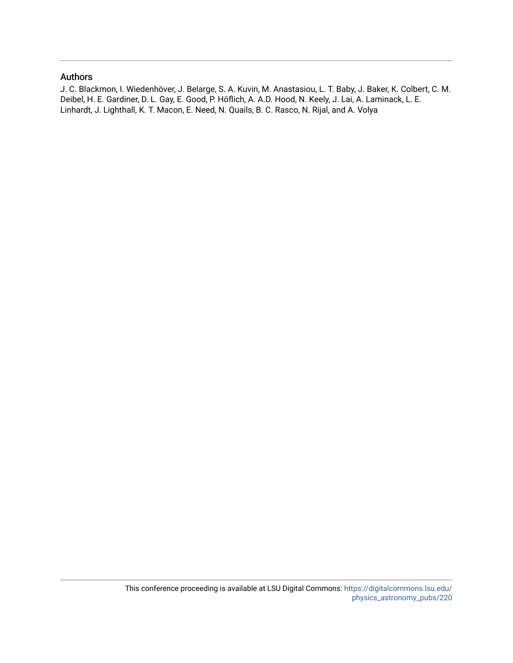#### Authors

J. C. Blackmon, I. Wiedenhöver, J. Belarge, S. A. Kuvin, M. Anastasiou, L. T. Baby, J. Baker, K. Colbert, C. M. Deibel, H. E. Gardiner, D. L. Gay, E. Good, P. Höflich, A. A.D. Hood, N. Keely, J. Lai, A. Laminack, L. E. Linhardt, J. Lighthall, K. T. Macon, E. Need, N. Quails, B. C. Rasco, N. Rijal, and A. Volya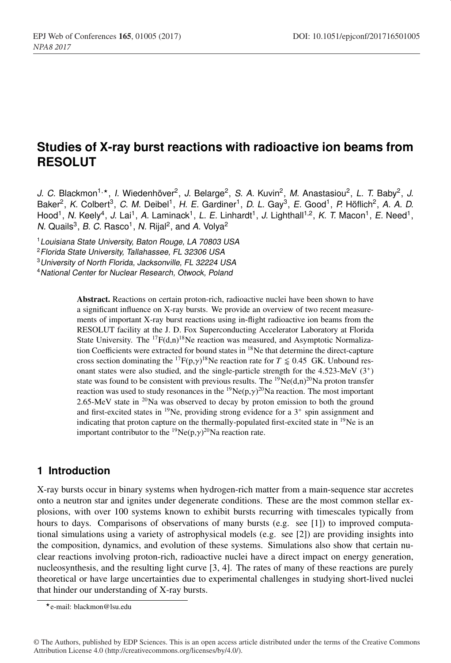# **Studies of X-ray burst reactions with radioactive ion beams from RESOLUT**

*J. C.* Blackmon<sup>1,\*</sup>, *I.* Wiedenhöver<sup>2</sup>, *J.* Belarge<sup>2</sup>, *S. A.* Kuvin<sup>2</sup>, *M.* Anastasiou<sup>2</sup>, *L. T.* Baby<sup>2</sup>, *J.* Baker2, *K.* Colbert3, *C. M.* Deibel1, *H. E.* Gardiner1, *D. L.* Gay3, *E.* Good1, *P.* Höflich2, *A. A. D.* Hood<sup>1</sup>, N. Keely<sup>4</sup>, J. Lai<sup>1</sup>, A. Laminack<sup>1</sup>, L. E. Linhardt<sup>1</sup>, J. Lighthall<sup>1,2</sup>, K. T. Macon<sup>1</sup>, E. Need<sup>1</sup>, *N.* Quails<sup>3</sup>, *B. C.* Rasco<sup>1</sup>, *N.* Rijal<sup>2</sup>, and *A.* Volya<sup>2</sup>

<sup>1</sup>*Louisiana State University, Baton Rouge, LA 70803 USA*

<sup>2</sup>*Florida State University, Tallahassee, FL 32306 USA*

<sup>3</sup>*University of North Florida, Jacksonville, FL 32224 USA*

<sup>4</sup>*National Center for Nuclear Research, Otwock, Poland*

Abstract. Reactions on certain proton-rich, radioactive nuclei have been shown to have a significant influence on X-ray bursts. We provide an overview of two recent measurements of important X-ray burst reactions using in-flight radioactive ion beams from the RESOLUT facility at the J. D. Fox Superconducting Accelerator Laboratory at Florida State University. The  ${}^{17}F(d,n){}^{18}Ne$  reaction was measured, and Asymptotic Normalization Coefficients were extracted for bound states in 18Ne that determine the direct-capture cross section dominating the <sup>17</sup> $F(p,\gamma)^{18}$ Ne reaction rate for  $T \le 0.45$  GK. Unbound resonant states were also studied, and the single-particle strength for the  $4.523$ -MeV  $(3^+)$ state was found to be consistent with previous results. The <sup>19</sup>Ne(d,n)<sup>20</sup>Na proton transfer reaction was used to study resonances in the  $^{19}Ne(p,\gamma)^{20}Na$  reaction. The most important 2.65-MeV state in  $20\text{Na}$  was observed to decay by proton emission to both the ground and first-excited states in  $^{19}$ Ne, providing strong evidence for a  $3^+$  spin assignment and indicating that proton capture on the thermally-populated first-excited state in 19Ne is an important contributor to the <sup>19</sup>Ne(p, $\gamma$ )<sup>20</sup>Na reaction rate.

#### **1 Introduction**

X-ray bursts occur in binary systems when hydrogen-rich matter from a main-sequence star accretes onto a neutron star and ignites under degenerate conditions. These are the most common stellar explosions, with over 100 systems known to exhibit bursts recurring with timescales typically from hours to days. Comparisons of observations of many bursts (e.g. see [1]) to improved computational simulations using a variety of astrophysical models (e.g. see [2]) are providing insights into the composition, dynamics, and evolution of these systems. Simulations also show that certain nuclear reactions involving proton-rich, radioactive nuclei have a direct impact on energy generation, nucleosynthesis, and the resulting light curve [3, 4]. The rates of many of these reactions are purely theoretical or have large uncertainties due to experimental challenges in studying short-lived nuclei that hinder our understanding of X-ray bursts.

e-mail: blackmon@lsu.edu

<sup>©</sup> The Authors, published by EDP Sciences. This is an open access article distributed under the terms of the Creative Commons Attribution License 4.0 (http://creativecommons.org/licenses/by/4.0/).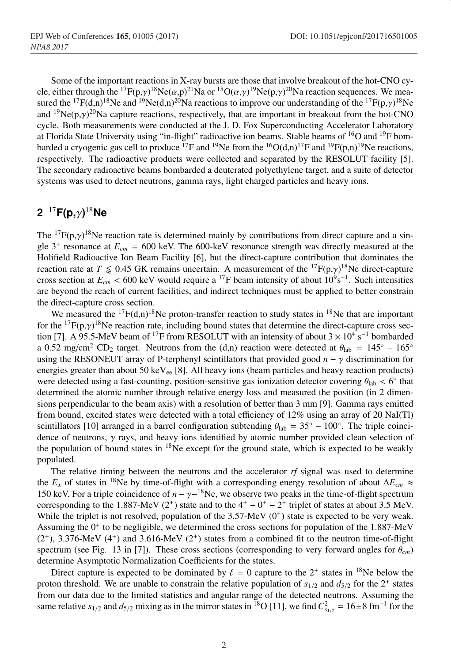Some of the important reactions in X-ray bursts are those that involve breakout of the hot-CNO cycle, either through the  $^{17}F(p,\gamma)^{18}Ne(\alpha,p)^{21}Na$  or  $^{15}O(\alpha,\gamma)^{19}Ne(p,\gamma)^{20}Na$  reaction sequences. We measured the <sup>17</sup>F(d,n)<sup>18</sup>Ne and <sup>19</sup>Ne(d,n)<sup>20</sup>Na reactions to improve our understanding of the <sup>17</sup>F(p, $\gamma$ )<sup>18</sup>Ne and  $^{19}Ne(p, \gamma)^{20}$ Na capture reactions, respectively, that are important in breakout from the hot-CNO cycle. Both measurements were conducted at the J. D. Fox Superconducting Accelerator Laboratory at Florida State University using "in-flight" radioactive ion beams. Stable beams of <sup>16</sup>O and <sup>19</sup>F bombarded a cryogenic gas cell to produce <sup>17</sup>F and <sup>19</sup>Ne from the <sup>16</sup>O(d,n)<sup>17</sup>F and <sup>19</sup>F(p,n)<sup>19</sup>Ne reactions, respectively. The radioactive products were collected and separated by the RESOLUT facility [5]. The secondary radioactive beams bombarded a deuterated polyethylene target, and a suite of detector systems was used to detect neutrons, gamma rays, light charged particles and heavy ions.

## **2** <sup>17</sup>**F(p,**γ**)** <sup>18</sup>**Ne**

The <sup>17</sup> $F(p, \gamma)$ <sup>18</sup>Ne reaction rate is determined mainly by contributions from direct capture and a single  $3^+$  resonance at  $E_{cm} = 600$  keV. The 600-keV resonance strength was directly measured at the Holifield Radioactive Ion Beam Facility [6], but the direct-capture contribution that dominates the reaction rate at  $T \leq 0.45$  GK remains uncertain. A measurement of the  ${}^{17}F(p,\gamma){}^{18}$ Ne direct-capture cross section at  $E_{cm}$  < 600 keV would require a <sup>17</sup>F beam intensity of about  $10^9$ s<sup>-1</sup>. Such intensities are beyond the reach of current facilities, and indirect techniques must be applied to better constrain the direct-capture cross section.

We measured the  $^{17}F(d,n)^{18}$ Ne proton-transfer reaction to study states in  $^{18}$ Ne that are important for the  ${}^{17}F(p,\gamma){}^{18}Ne$  reaction rate, including bound states that determine the direct-capture cross section [7]. A 95.5-MeV beam of <sup>17</sup>F from RESOLUT with an intensity of about  $3 \times 10^4$  s<sup>-1</sup> bombarded a 0.52 mg/cm<sup>2</sup> CD<sub>2</sub> target. Neutrons from the (d,n) reaction were detected at  $\theta_{\text{lab}} = 145^\circ - 165^\circ$ using the RESONEUT array of P-terphenyl scintillators that provided good  $n - \gamma$  discrimination for energies greater than about 50 keV $_{ee}$  [8]. All heavy ions (beam particles and heavy reaction products) were detected using a fast-counting, position-sensitive gas ionization detector covering  $\theta_{lab} < 6°$  that determined the atomic number through relative energy loss and measured the position (in 2 dimensions perpendicular to the beam axis) with a resolution of better than 3 mm [9]. Gamma rays emitted from bound, excited states were detected with a total efficiency of 12% using an array of 20 NaI(Tl) scintillators [10] arranged in a barrel configuration subtending  $\theta_{\text{lab}} = 35° - 100°$ . The triple coincidence of neutrons,  $\gamma$  rays, and heavy ions identified by atomic number provided clean selection of the population of bound states in  $18$ Ne except for the ground state, which is expected to be weakly populated.

The relative timing between the neutrons and the accelerator *rf* signal was used to determine the *Ex* of states in 18Ne by time-of-flight with a corresponding energy resolution of about ∆*Ecm* ≈ 150 keV. For a triple coincidence of  $n - \gamma - 18N$ e, we observe two peaks in the time-of-flight spectrum corresponding to the 1.887-MeV (2<sup>+</sup>) state and to the  $4^+ - 0^+ - 2^+$  triplet of states at about 3.5 MeV. While the triplet is not resolved, population of the  $3.57$ -MeV ( $0^+$ ) state is expected to be very weak. Assuming the  $0^+$  to be negligible, we determined the cross sections for population of the 1.887-MeV  $(2^+)$ , 3.376-MeV  $(4^+)$  and 3.616-MeV  $(2^+)$  states from a combined fit to the neutron time-of-flight spectrum (see Fig. 13 in [7]). These cross sections (corresponding to very forward angles for  $\theta_{cm}$ ) determine Asymptotic Normalization Coefficients for the states.

Direct capture is expected to be dominated by  $\ell = 0$  capture to the  $2^+$  states in <sup>18</sup>Ne below the proton threshold. We are unable to constrain the relative population of  $s_{1/2}$  and  $d_{5/2}$  for the 2<sup>+</sup> states from our data due to the limited statistics and angular range of the detected neutrons. Assuming the same relative  $s_{1/2}$  and  $d_{5/2}$  mixing as in the mirror states in <sup>18</sup>O [11], we find  $C_{s_{1/2}}^2 = 16 \pm 8$  fm<sup>-1</sup> for the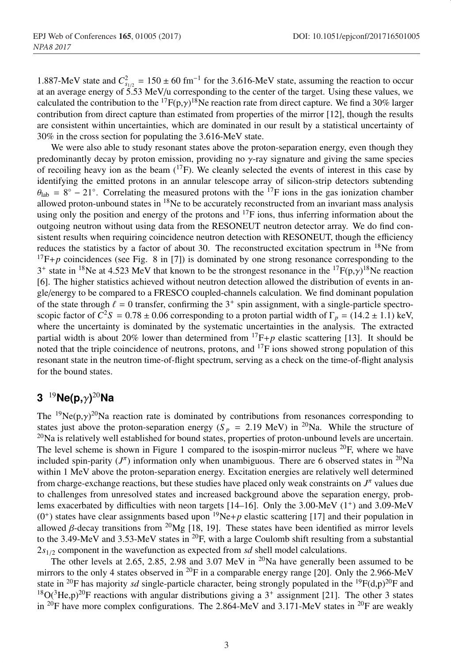1.887-MeV state and  $C_{s_{1/2}}^2 = 150 \pm 60$  fm<sup>-1</sup> for the 3.616-MeV state, assuming the reaction to occur at an average energy of  $5.53$  MeV/u corresponding to the center of the target. Using these values, we calculated the contribution to the <sup>17</sup> $F(p, \gamma)$ <sup>18</sup>Ne reaction rate from direct capture. We find a 30% larger contribution from direct capture than estimated from properties of the mirror [12], though the results are consistent within uncertainties, which are dominated in our result by a statistical uncertainty of 30% in the cross section for populating the 3.616-MeV state.

We were also able to study resonant states above the proton-separation energy, even though they predominantly decay by proton emission, providing no γ-ray signature and giving the same species of recoiling heavy ion as the beam  $(^{17}F)$ . We cleanly selected the events of interest in this case by identifying the emitted protons in an annular telescope array of silicon-strip detectors subtending  $\theta_{\text{lab}} = 8^\circ - 21^\circ$ . Correlating the measured protons with the <sup>17</sup>F ions in the gas ionization chamber allowed proton-unbound states in  $18$ Ne to be accurately reconstructed from an invariant mass analysis using only the position and energy of the protons and  $^{17}F$  ions, thus inferring information about the outgoing neutron without using data from the RESONEUT neutron detector array. We do find consistent results when requiring coincidence neutron detection with RESONEUT, though the efficiency reduces the statistics by a factor of about 30. The reconstructed excitation spectrum in  $18$ Ne from  $17F+p$  coincidences (see Fig. 8 in [7]) is dominated by one strong resonance corresponding to the  $3^+$  state in <sup>18</sup>Ne at 4.523 MeV that known to be the strongest resonance in the <sup>17</sup>F(p, $\gamma$ )<sup>18</sup>Ne reaction [6]. The higher statistics achieved without neutron detection allowed the distribution of events in angle/energy to be compared to a FRESCO coupled-channels calculation. We find dominant population of the state through  $\ell = 0$  transfer, confirming the  $3^+$  spin assignment, with a single-particle spectroscopic factor of  $C^2S = 0.78 \pm 0.06$  corresponding to a proton partial width of  $\Gamma_p = (14.2 \pm 1.1)$  keV, where the uncertainty is dominated by the systematic uncertainties in the analysis. The extracted partial width is about 20% lower than determined from  $^{17}F+p$  elastic scattering [13]. It should be noted that the triple coincidence of neutrons, protons, and 17F ions showed strong population of this resonant state in the neutron time-of-flight spectrum, serving as a check on the time-of-flight analysis for the bound states.

### **3** <sup>19</sup>**Ne(p,**γ**)** <sup>20</sup>**Na**

The <sup>19</sup>Ne(p, $\gamma$ )<sup>20</sup>Na reaction rate is dominated by contributions from resonances corresponding to states just above the proton-separation energy ( $S_p = 2.19$  MeV) in <sup>20</sup>Na. While the structure of  $^{20}$ Na is relatively well established for bound states, properties of proton-unbound levels are uncertain. The level scheme is shown in Figure 1 compared to the isospin-mirror nucleus  $^{20}F$ , where we have included spin-parity  $(J^{\pi})$  information only when unambiguous. There are 6 observed states in <sup>20</sup>Na within 1 MeV above the proton-separation energy. Excitation energies are relatively well determined from charge-exchange reactions, but these studies have placed only weak constraints on  $J^{\pi}$  values due to challenges from unresolved states and increased background above the separation energy, problems exacerbated by difficulties with neon targets  $[14–16]$ . Only the 3.00-MeV  $(1^+)$  and 3.09-MeV  $(0^+)$  states have clear assignments based upon <sup>19</sup>Ne+*p* elastic scattering [17] and their population in allowed β-decay transitions from <sup>20</sup>Mg [18, 19]. These states have been identified as mirror levels to the 3.49-MeV and 3.53-MeV states in <sup>20</sup>F, with a large Coulomb shift resulting from a substantial 2*s*1/<sup>2</sup> component in the wavefunction as expected from *sd* shell model calculations.

The other levels at 2.65, 2.85, 2.98 and 3.07 MeV in <sup>20</sup>Na have generally been assumed to be mirrors to the only 4 states observed in  ${}^{20}F$  in a comparable energy range [20]. Only the 2.966-MeV state in <sup>20</sup>F has majority *sd* single-particle character, being strongly populated in the <sup>19</sup>F(d,p)<sup>20</sup>F and  $18O(^3$ He,p)<sup>20</sup>F reactions with angular distributions giving a 3<sup>+</sup> assignment [21]. The other 3 states in <sup>20</sup>F have more complex configurations. The 2.864-MeV and 3.171-MeV states in <sup>20</sup>F are weakly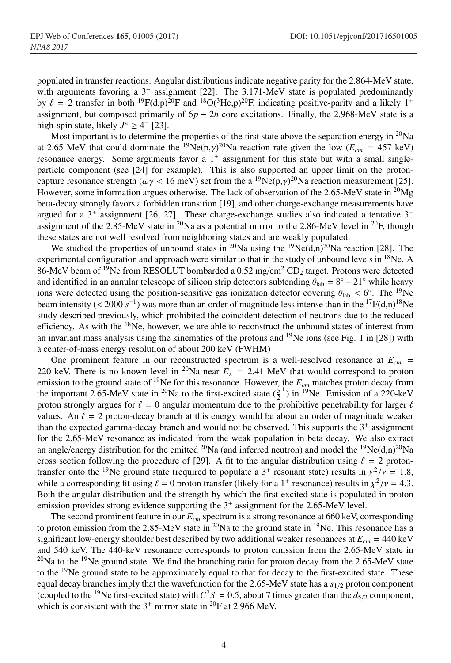populated in transfer reactions. Angular distributions indicate negative parity for the 2.864-MeV state, with arguments favoring a 3<sup>−</sup> assignment [22]. The 3.171-MeV state is populated predominantly by  $\ell = 2$  transfer in both <sup>19</sup>F(d,p)<sup>20</sup>F and <sup>18</sup>O(<sup>3</sup>He,p)<sup>20</sup>F, indicating positive-parity and a likely 1<sup>+</sup> assignment, but composed primarily of 6*p* − 2*h* core excitations. Finally, the 2.968-MeV state is a high-spin state, likely  $J^{\pi} \geq 4^-$  [23].

Most important is to determine the properties of the first state above the separation energy in  $^{20}$ Na at 2.65 MeV that could dominate the <sup>19</sup>Ne(p, $\gamma$ )<sup>20</sup>Na reaction rate given the low ( $E_{cm}$  = 457 keV) resonance energy. Some arguments favor a 1<sup>+</sup> assignment for this state but with a small singleparticle component (see [24] for example). This is also supported an upper limit on the protoncapture resonance strength ( $\omega\gamma < 16$  meV) set from the a <sup>19</sup>Ne(p, $\gamma$ )<sup>20</sup>Na reaction measurement [25]. However, some information argues otherwise. The lack of observation of the 2.65-MeV state in <sup>20</sup>Mg beta-decay strongly favors a forbidden transition [19], and other charge-exchange measurements have argued for a  $3^+$  assignment [26, 27]. These charge-exchange studies also indicated a tentative  $3^$ assignment of the 2.85-MeV state in  ${}^{20}$ Na as a potential mirror to the 2.86-MeV level in  ${}^{20}$ F, though these states are not well resolved from neighboring states and are weakly populated.

We studied the properties of unbound states in <sup>20</sup>Na using the <sup>19</sup>Ne(d,n)<sup>20</sup>Na reaction [28]. The experimental configuration and approach were similar to that in the study of unbound levels in <sup>18</sup>Ne. A 86-MeV beam of <sup>19</sup>Ne from RESOLUT bombarded a  $0.52$  mg/cm<sup>2</sup> CD<sub>2</sub> target. Protons were detected and identified in an annular telescope of silicon strip detectors subtending  $\theta_{\text{lab}} = 8° - 21°$  while heavy ions were detected using the position-sensitive gas ionization detector covering  $\theta_{lab} < 6°$ . The <sup>19</sup>Ne beam intensity (< 2000  $s^{-1}$ ) was more than an order of magnitude less intense than in the <sup>17</sup>F(d,n)<sup>18</sup>Ne study described previously, which prohibited the coincident detection of neutrons due to the reduced efficiency. As with the  $18$ Ne, however, we are able to reconstruct the unbound states of interest from an invariant mass analysis using the kinematics of the protons and  $19$ Ne ions (see Fig. 1 in [28]) with a center-of-mass energy resolution of about 200 keV (FWHM)

One prominent feature in our reconstructed spectrum is a well-resolved resonance at  $E_{cm}$  = 220 keV. There is no known level in <sup>20</sup>Na near  $E_x = 2.41$  MeV that would correspond to proton emission to the ground state of <sup>19</sup>Ne for this resonance. However, the  $E_{cm}$  matches proton decay from the important 2.65-MeV state in <sup>20</sup>Na to the first-excited state  $(\frac{5}{2})$  $(+)$  in  $^{19}$ Ne. Emission of a 220-keV proton strongly argues for  $\ell = 0$  angular momentum due to the prohibitive penetrability for larger  $\ell$ values. An  $\ell = 2$  proton-decay branch at this energy would be about an order of magnitude weaker than the expected gamma-decay branch and would not be observed. This supports the  $3<sup>+</sup>$  assignment for the 2.65-MeV resonance as indicated from the weak population in beta decay. We also extract an angle/energy distribution for the emitted <sup>20</sup>Na (and inferred neutron) and model the <sup>19</sup>Ne(d,n)<sup>20</sup>Na cross section following the procedure of [29]. A fit to the angular distribution using  $\ell = 2$  protontransfer onto the <sup>19</sup>Ne ground state (required to populate a 3<sup>+</sup> resonant state) results in  $\chi^2/\nu = 1.8$ , while a corresponding fit using  $\ell = 0$  proton transfer (likely for a 1<sup>+</sup> resonance) results in  $\chi^2/\nu = 4.3$ . Both the angular distribution and the strength by which the first-excited state is populated in proton emission provides strong evidence supporting the 3<sup>+</sup> assignment for the 2.65-MeV level.

The second prominent feature in our  $E_{cm}$  spectrum is a strong resonance at 660 keV, corresponding to proton emission from the 2.85-MeV state in <sup>20</sup>Na to the ground state in <sup>19</sup>Ne. This resonance has a significant low-energy shoulder best described by two additional weaker resonances at  $E_{cm} = 440 \text{ keV}$ and 540 keV. The 440-keV resonance corresponds to proton emission from the 2.65-MeV state in  $^{20}$ Na to the <sup>19</sup>Ne ground state. We find the branching ratio for proton decay from the 2.65-MeV state to the 19Ne ground state to be approximately equal to that for decay to the first-excited state. These equal decay branches imply that the wavefunction for the  $2.65$ -MeV state has a  $s_{1/2}$  proton component (coupled to the <sup>19</sup>Ne first-excited state) with  $C^2S = 0.5$ , about 7 times greater than the  $d_{5/2}$  component, which is consistent with the  $3^+$  mirror state in <sup>20</sup>F at 2.966 MeV.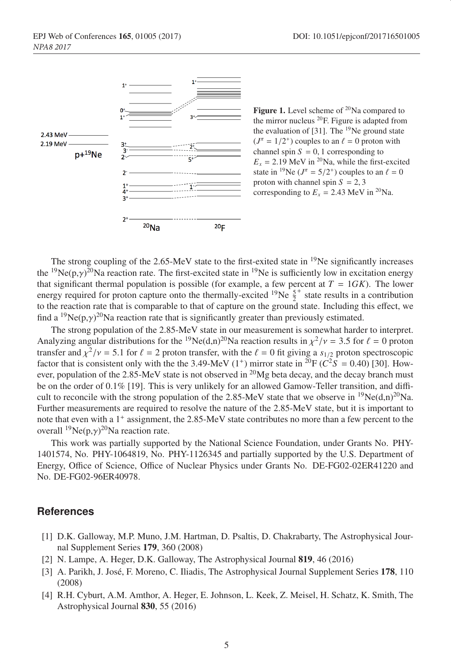

**Figure 1.** Level scheme of  $^{20}$ Na compared to the mirror nucleus 20F. Figure is adapted from the evaluation of  $[31]$ . The <sup>19</sup>Ne ground state  $(J^{\pi} = 1/2^{+})$  couples to an  $\ell = 0$  proton with channel spin  $S = 0, 1$  corresponding to  $E_x = 2.19$  MeV in <sup>20</sup>Na, while the first-excited state in <sup>19</sup>Ne ( $J^{\pi} = 5/2^{+}$ ) couples to an  $\ell = 0$ proton with channel spin  $S = 2, 3$ corresponding to  $E_x = 2.43$  MeV in <sup>20</sup>Na.

The strong coupling of the  $2.65$ -MeV state to the first-exited state in  $19$ Ne significantly increases the <sup>19</sup>Ne(p, $\gamma$ )<sup>20</sup>Na reaction rate. The first-excited state in <sup>19</sup>Ne is sufficiently low in excitation energy that significant thermal population is possible (for example, a few percent at  $T = 1GK$ ). The lower energy required for proton capture onto the thermally-excited <sup>19</sup>Ne  $\frac{5}{2}^+$  state results in a contribution to the reaction rate that is comparable to that of capture on the ground state. Including this effect, we find a <sup>19</sup>Ne(p, $\gamma$ )<sup>20</sup>Na reaction rate that is significantly greater than previously estimated.

The strong population of the 2.85-MeV state in our measurement is somewhat harder to interpret. Analyzing angular distributions for the <sup>19</sup>Ne(d,n)<sup>20</sup>Na reaction results in  $\chi^2/\nu = 3.5$  for  $\ell = 0$  proton transfer and  $\chi^2/\nu = 5.1$  for  $\ell = 2$  proton transfer, with the  $\ell = 0$  fit giving a  $s_{1/2}$  proton spectroscopic factor that is consistent only with the the 3.49-MeV (1<sup>+</sup>) mirror state in <sup>20</sup>F ( $C^2S = 0.40$ ) [30]. However, population of the 2.85-MeV state is not observed in <sup>20</sup>Mg beta decay, and the decay branch must be on the order of 0.1% [19]. This is very unlikely for an allowed Gamow-Teller transition, and difficult to reconcile with the strong population of the 2.85-MeV state that we observe in <sup>19</sup>Ne(d,n)<sup>20</sup>Na. Further measurements are required to resolve the nature of the 2.85-MeV state, but it is important to note that even with a 1<sup>+</sup> assignment, the 2.85-MeV state contributes no more than a few percent to the overall  $^{19}Ne(p,\gamma)^{20}Na$  reaction rate.

This work was partially supported by the National Science Foundation, under Grants No. PHY-1401574, No. PHY-1064819, No. PHY-1126345 and partially supported by the U.S. Department of Energy, Office of Science, Office of Nuclear Physics under Grants No. DE-FG02-02ER41220 and No. DE-FG02-96ER40978.

#### **References**

- [1] D.K. Galloway, M.P. Muno, J.M. Hartman, D. Psaltis, D. Chakrabarty, The Astrophysical Journal Supplement Series 179, 360 (2008)
- [2] N. Lampe, A. Heger, D.K. Galloway, The Astrophysical Journal 819, 46 (2016)
- [3] A. Parikh, J. José, F. Moreno, C. Iliadis, The Astrophysical Journal Supplement Series 178, 110 (2008)
- [4] R.H. Cyburt, A.M. Amthor, A. Heger, E. Johnson, L. Keek, Z. Meisel, H. Schatz, K. Smith, The Astrophysical Journal 830, 55 (2016)